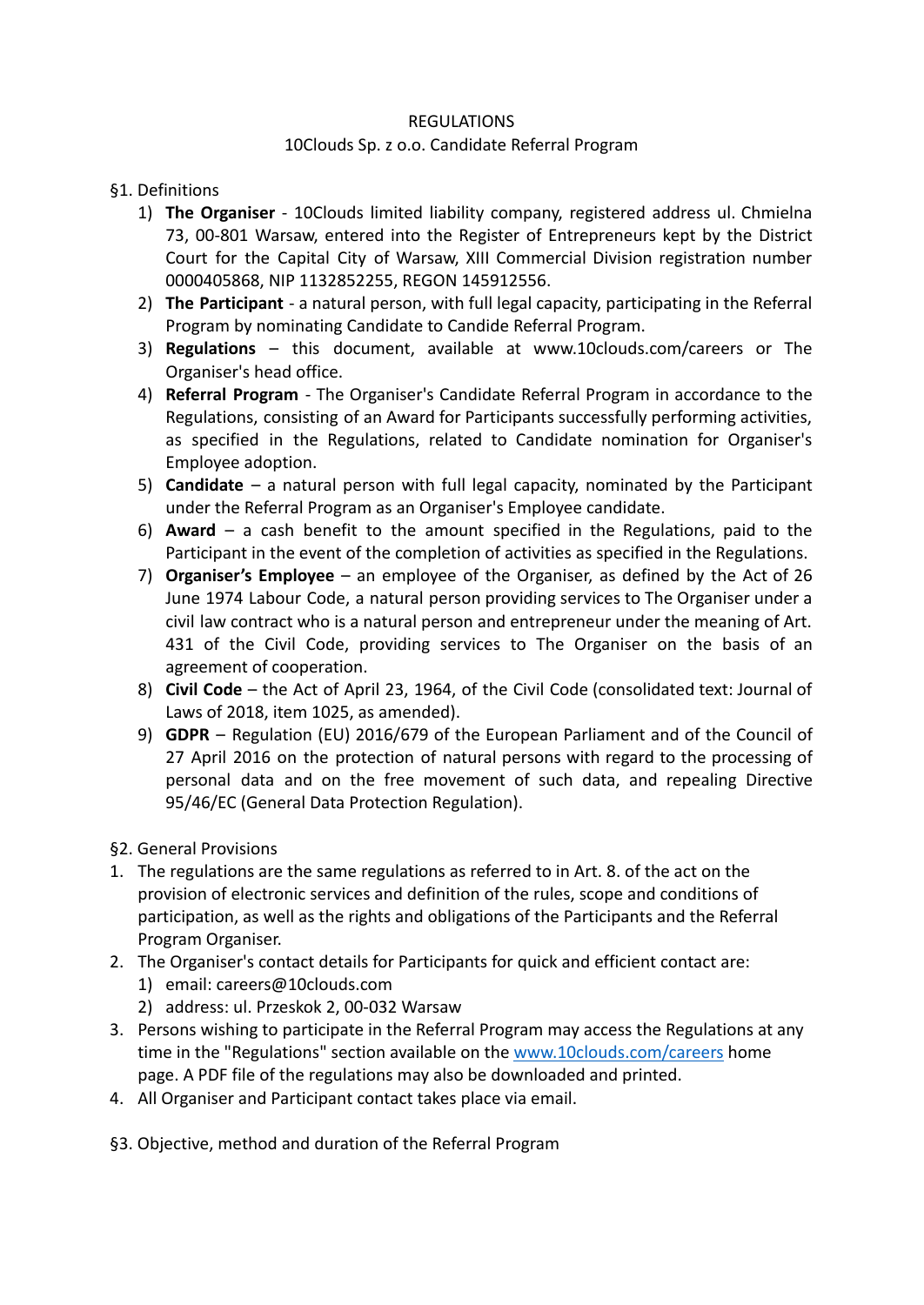## REGULATIONS

## 10Clouds Sp. z o.o. Candidate Referral Program

## §1. Definitions

- 1) **The Organiser** 10Clouds limited liability company, registered address ul. Chmielna 73, 00-801 Warsaw, entered into the Register of Entrepreneurs kept by the District Court for the Capital City of Warsaw, XIII Commercial Division registration number 0000405868, NIP 1132852255, REGON 145912556.
- 2) **The Participant** a natural person, with full legal capacity, participating in the Referral Program by nominating Candidate to Candide Referral Program.
- 3) **Regulations** this document, available at www.10clouds.com/careers or The Organiser's head office.
- 4) **Referral Program** The Organiser's Candidate Referral Program in accordance to the Regulations, consisting of an Award for Participants successfully performing activities, as specified in the Regulations, related to Candidate nomination for Organiser's Employee adoption.
- 5) **Candidate** a natural person with full legal capacity, nominated by the Participant under the Referral Program as an Organiser's Employee candidate.
- 6) **Award** a cash benefit to the amount specified in the Regulations, paid to the Participant in the event of the completion of activities as specified in the Regulations.
- 7) **Organiser's Employee** an employee of the Organiser, as defined by the Act of 26 June 1974 Labour Code, a natural person providing services to The Organiser under a civil law contract who is a natural person and entrepreneur under the meaning of Art. 431 of the Civil Code, providing services to The Organiser on the basis of an agreement of cooperation.
- 8) **Civil Code** the Act of April 23, 1964, of the Civil Code (consolidated text: Journal of Laws of 2018, item 1025, as amended).
- 9) **GDPR** Regulation (EU) 2016/679 of the European Parliament and of the Council of 27 April 2016 on the protection of natural persons with regard to the processing of personal data and on the free movement of such data, and repealing Directive 95/46/EC (General Data Protection Regulation).
- §2. General Provisions
- 1. The regulations are the same regulations as referred to in Art. 8. of the act on the provision of electronic services and definition of the rules, scope and conditions of participation, as well as the rights and obligations of the Participants and the Referral Program Organiser.
- 2. The Organiser's contact details for Participants for quick and efficient contact are:
	- 1) email: careers@10clouds.com
	- 2) address: ul. Przeskok 2, 00-032 Warsaw
- 3. Persons wishing to participate in the Referral Program may access the Regulations at any time in the "Regulations" section available on the [www.10clouds.com/careers](http://www.10clouds.com/careers) home page. A PDF file of the regulations may also be downloaded and printed.
- 4. All Organiser and Participant contact takes place via email.

§3. Objective, method and duration of the Referral Program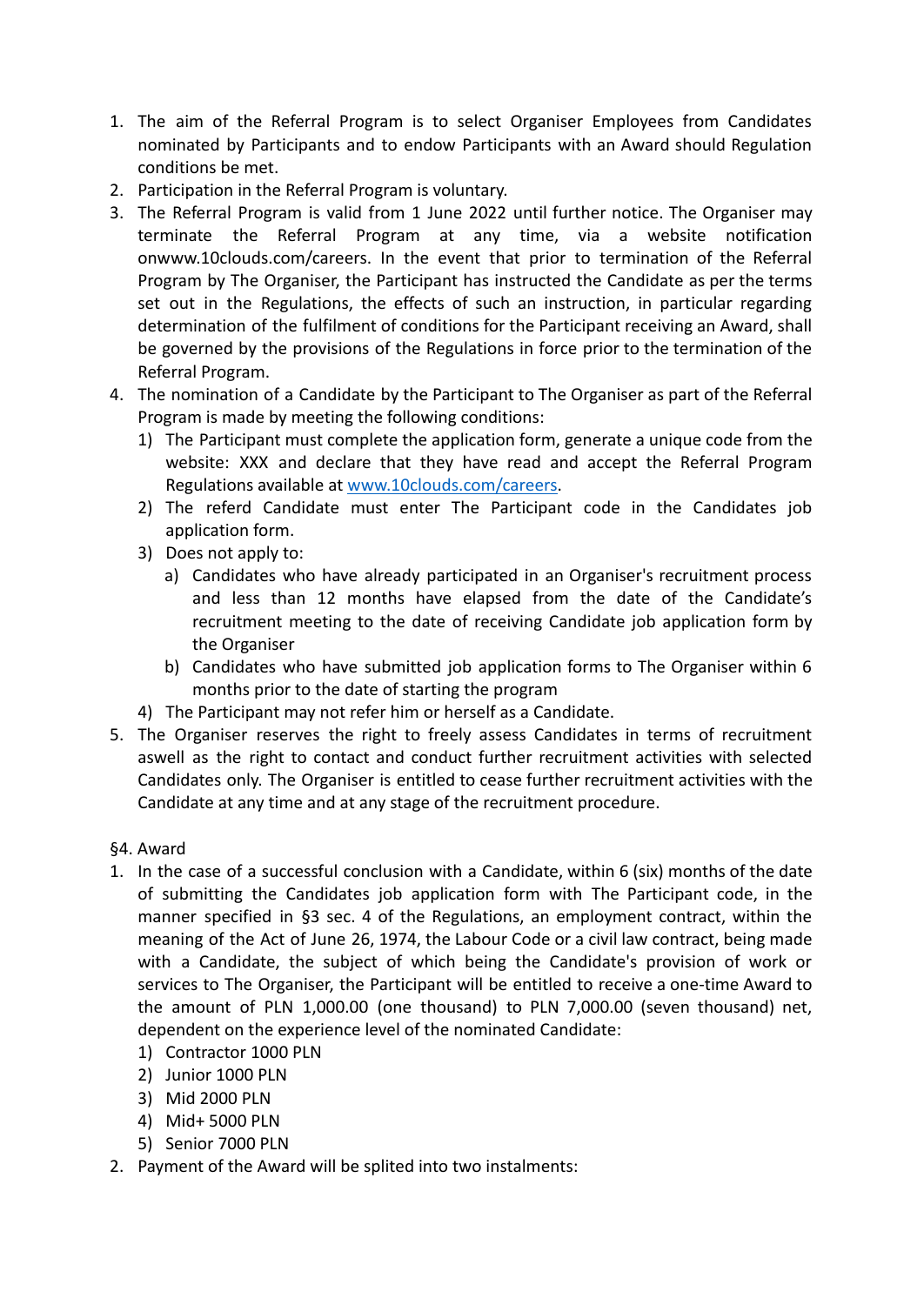- 1. The aim of the Referral Program is to select Organiser Employees from Candidates nominated by Participants and to endow Participants with an Award should Regulation conditions be met.
- 2. Participation in the Referral Program is voluntary.
- 3. The Referral Program is valid from 1 June 2022 until further notice. The Organiser may terminate the Referral Program at any time, via a website notification onwww.10clouds.com/careers. In the event that prior to termination of the Referral Program by The Organiser, the Participant has instructed the Candidate as per the terms set out in the Regulations, the effects of such an instruction, in particular regarding determination of the fulfilment of conditions for the Participant receiving an Award, shall be governed by the provisions of the Regulations in force prior to the termination of the Referral Program.
- 4. The nomination of a Candidate by the Participant to The Organiser as part of the Referral Program is made by meeting the following conditions:
	- 1) The Participant must complete the application form, generate a unique code from the website: XXX and declare that they have read and accept the Referral Program Regulations available at [www.10clouds.com/careers.](http://www.10clouds.com/careers)
	- 2) The referd Candidate must enter The Participant code in the Candidates job application form.
	- 3) Does not apply to:
		- a) Candidates who have already participated in an Organiser's recruitment process and less than 12 months have elapsed from the date of the Candidate's recruitment meeting to the date of receiving Candidate job application form by the Organiser
		- b) Candidates who have submitted job application forms to The Organiser within 6 months prior to the date of starting the program
	- 4) The Participant may not refer him or herself as a Candidate.
- 5. The Organiser reserves the right to freely assess Candidates in terms of recruitment aswell as the right to contact and conduct further recruitment activities with selected Candidates only. The Organiser is entitled to cease further recruitment activities with the Candidate at any time and at any stage of the recruitment procedure.

## §4. Award

- 1. In the case of a successful conclusion with a Candidate, within 6 (six) months of the date of submitting the Candidates job application form with The Participant code, in the manner specified in §3 sec. 4 of the Regulations, an employment contract, within the meaning of the Act of June 26, 1974, the Labour Code or a civil law contract, being made with a Candidate, the subject of which being the Candidate's provision of work or services to The Organiser, the Participant will be entitled to receive a one-time Award to the amount of PLN 1,000.00 (one thousand) to PLN 7,000.00 (seven thousand) net, dependent on the experience level of the nominated Candidate:
	- 1) Contractor 1000 PLN
	- 2) Junior 1000 PLN
	- 3) Mid 2000 PLN
	- 4) Mid+ 5000 PLN
	- 5) Senior 7000 PLN
- 2. Payment of the Award will be splited into two instalments: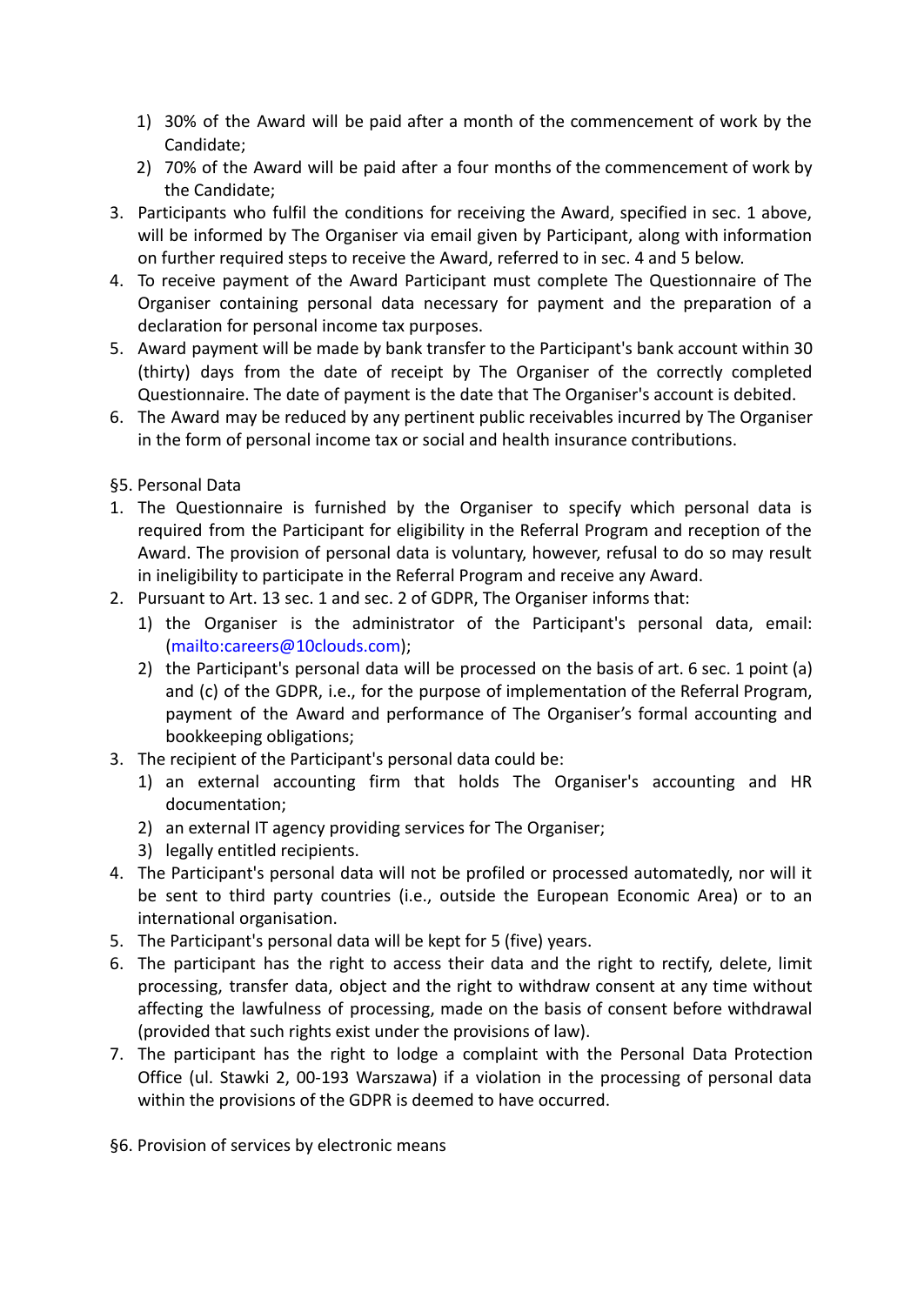- 1) 30% of the Award will be paid after a month of the commencement of work by the Candidate;
- 2) 70% of the Award will be paid after a four months of the commencement of work by the Candidate;
- 3. Participants who fulfil the conditions for receiving the Award, specified in sec. 1 above, will be informed by The Organiser via email given by Participant, along with information on further required steps to receive the Award, referred to in sec. 4 and 5 below.
- 4. To receive payment of the Award Participant must complete The Questionnaire of The Organiser containing personal data necessary for payment and the preparation of a declaration for personal income tax purposes.
- 5. Award payment will be made by bank transfer to the Participant's bank account within 30 (thirty) days from the date of receipt by The Organiser of the correctly completed Questionnaire. The date of payment is the date that The Organiser's account is debited.
- 6. The Award may be reduced by any pertinent public receivables incurred by The Organiser in the form of personal income tax or social and health insurance contributions.
- §5. Personal Data
- 1. The Questionnaire is furnished by the Organiser to specify which personal data is required from the Participant for eligibility in the Referral Program and reception of the Award. The provision of personal data is voluntary, however, refusal to do so may result in ineligibility to participate in the Referral Program and receive any Award.
- 2. Pursuant to Art. 13 sec. 1 and sec. 2 of GDPR, The Organiser informs that:
	- 1) the Organiser is the administrator of the Participant's personal data, email: (mailto:careers@10clouds.com);
	- 2) the Participant's personal data will be processed on the basis of art. 6 sec. 1 point (a) and (c) of the GDPR, i.e., for the purpose of implementation of the Referral Program, payment of the Award and performance of The Organiser's formal accounting and bookkeeping obligations;
- 3. The recipient of the Participant's personal data could be:
	- 1) an external accounting firm that holds The Organiser's accounting and HR documentation;
	- 2) an external IT agency providing services for The Organiser;
	- 3) legally entitled recipients.
- 4. The Participant's personal data will not be profiled or processed automatedly, nor will it be sent to third party countries (i.e., outside the European Economic Area) or to an international organisation.
- 5. The Participant's personal data will be kept for 5 (five) years.
- 6. The participant has the right to access their data and the right to rectify, delete, limit processing, transfer data, object and the right to withdraw consent at any time without affecting the lawfulness of processing, made on the basis of consent before withdrawal (provided that such rights exist under the provisions of law).
- 7. The participant has the right to lodge a complaint with the Personal Data Protection Office (ul. Stawki 2, 00-193 Warszawa) if a violation in the processing of personal data within the provisions of the GDPR is deemed to have occurred.

§6. Provision of services by electronic means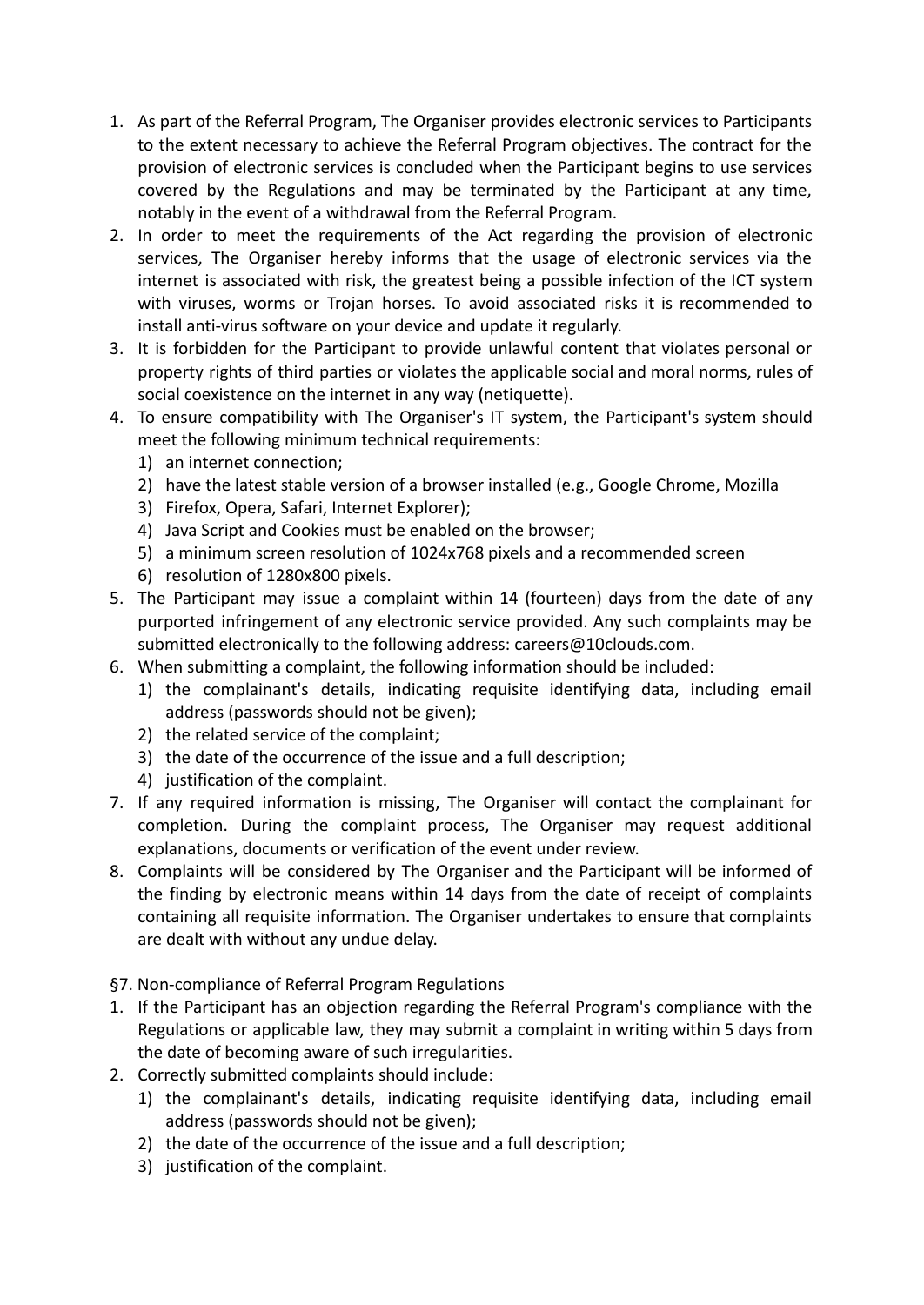- 1. As part of the Referral Program, The Organiser provides electronic services to Participants to the extent necessary to achieve the Referral Program objectives. The contract for the provision of electronic services is concluded when the Participant begins to use services covered by the Regulations and may be terminated by the Participant at any time, notably in the event of a withdrawal from the Referral Program.
- 2. In order to meet the requirements of the Act regarding the provision of electronic services, The Organiser hereby informs that the usage of electronic services via the internet is associated with risk, the greatest being a possible infection of the ICT system with viruses, worms or Trojan horses. To avoid associated risks it is recommended to install anti-virus software on your device and update it regularly.
- 3. It is forbidden for the Participant to provide unlawful content that violates personal or property rights of third parties or violates the applicable social and moral norms, rules of social coexistence on the internet in any way (netiquette).
- 4. To ensure compatibility with The Organiser's IT system, the Participant's system should meet the following minimum technical requirements:
	- 1) an internet connection;
	- 2) have the latest stable version of a browser installed (e.g., Google Chrome, Mozilla
	- 3) Firefox, Opera, Safari, Internet Explorer);
	- 4) Java Script and Cookies must be enabled on the browser;
	- 5) a minimum screen resolution of 1024x768 pixels and a recommended screen
	- 6) resolution of 1280x800 pixels.
- 5. The Participant may issue a complaint within 14 (fourteen) days from the date of any purported infringement of any electronic service provided. Any such complaints may be submitted electronically to the following address: careers@10clouds.com.
- 6. When submitting a complaint, the following information should be included:
	- 1) the complainant's details, indicating requisite identifying data, including email address (passwords should not be given);
	- 2) the related service of the complaint;
	- 3) the date of the occurrence of the issue and a full description;
	- 4) justification of the complaint.
- 7. If any required information is missing, The Organiser will contact the complainant for completion. During the complaint process, The Organiser may request additional explanations, documents or verification of the event under review.
- 8. Complaints will be considered by The Organiser and the Participant will be informed of the finding by electronic means within 14 days from the date of receipt of complaints containing all requisite information. The Organiser undertakes to ensure that complaints are dealt with without any undue delay.
- §7. Non-compliance of Referral Program Regulations
- 1. If the Participant has an objection regarding the Referral Program's compliance with the Regulations or applicable law, they may submit a complaint in writing within 5 days from the date of becoming aware of such irregularities.
- 2. Correctly submitted complaints should include:
	- 1) the complainant's details, indicating requisite identifying data, including email address (passwords should not be given);
	- 2) the date of the occurrence of the issue and a full description;
	- 3) justification of the complaint.